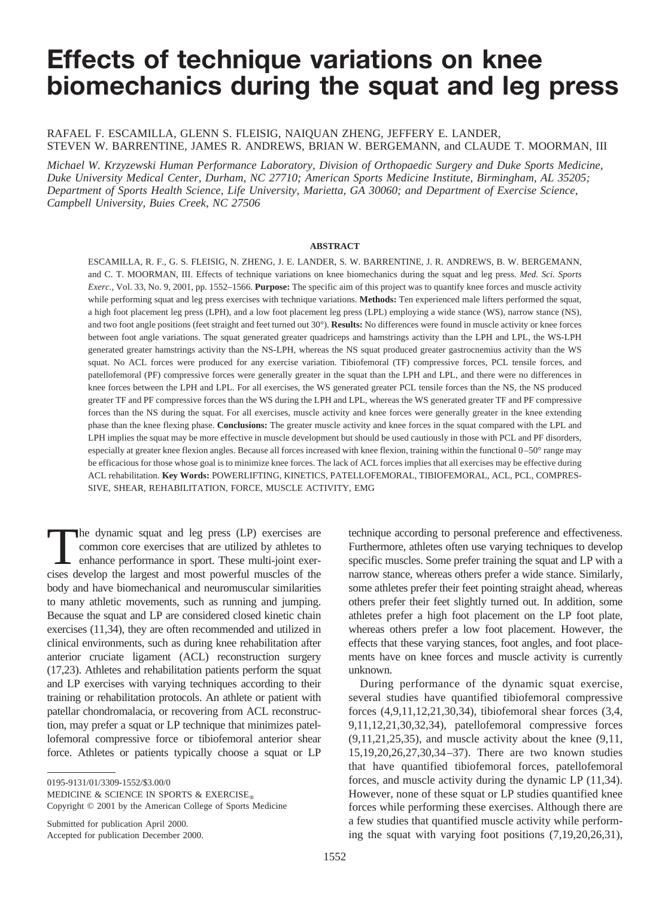# **Effects of technique variations on knee biomechanics during the squat and leg press**

RAFAEL F. ESCAMILLA, GLENN S. FLEISIG, NAIQUAN ZHENG, JEFFERY E. LANDER, STEVEN W. BARRENTINE, JAMES R. ANDREWS, BRIAN W. BERGEMANN, and CLAUDE T. MOORMAN, III

*Michael W. Krzyzewski Human Performance Laboratory, Division of Orthopaedic Surgery and Duke Sports Medicine, Duke University Medical Center, Durham, NC 27710; American Sports Medicine Institute, Birmingham, AL 35205; Department of Sports Health Science, Life University, Marietta, GA 30060; and Department of Exercise Science, Campbell University, Buies Creek, NC 27506*

#### **ABSTRACT**

ESCAMILLA, R. F., G. S. FLEISIG, N. ZHENG, J. E. LANDER, S. W. BARRENTINE, J. R. ANDREWS, B. W. BERGEMANN, and C. T. MOORMAN, III. Effects of technique variations on knee biomechanics during the squat and leg press. *Med. Sci. Sports Exerc.*, Vol. 33, No. 9, 2001, pp. 1552–1566. **Purpose:** The specific aim of this project was to quantify knee forces and muscle activity while performing squat and leg press exercises with technique variations. **Methods:** Ten experienced male lifters performed the squat, a high foot placement leg press (LPH), and a low foot placement leg press (LPL) employing a wide stance (WS), narrow stance (NS), and two foot angle positions (feet straight and feet turned out 30°). **Results:** No differences were found in muscle activity or knee forces between foot angle variations. The squat generated greater quadriceps and hamstrings activity than the LPH and LPL, the WS-LPH generated greater hamstrings activity than the NS-LPH, whereas the NS squat produced greater gastrocnemius activity than the WS squat. No ACL forces were produced for any exercise variation. Tibiofemoral (TF) compressive forces, PCL tensile forces, and patellofemoral (PF) compressive forces were generally greater in the squat than the LPH and LPL, and there were no differences in knee forces between the LPH and LPL. For all exercises, the WS generated greater PCL tensile forces than the NS, the NS produced greater TF and PF compressive forces than the WS during the LPH and LPL, whereas the WS generated greater TF and PF compressive forces than the NS during the squat. For all exercises, muscle activity and knee forces were generally greater in the knee extending phase than the knee flexing phase. **Conclusions:** The greater muscle activity and knee forces in the squat compared with the LPL and LPH implies the squat may be more effective in muscle development but should be used cautiously in those with PCL and PF disorders, especially at greater knee flexion angles. Because all forces increased with knee flexion, training within the functional 0–50° range may be efficacious for those whose goal is to minimize knee forces. The lack of ACL forces implies that all exercises may be effective during ACL rehabilitation. **Key Words:** POWERLIFTING, KINETICS, PATELLOFEMORAL, TIBIOFEMORAL, ACL, PCL, COMPRES-SIVE, SHEAR, REHABILITATION, FORCE, MUSCLE ACTIVITY, EMG

The dynamic squat and leg press (LP) exercises are<br>
common core exercises that are utilized by athletes to<br>
enhance performance in sport. These multi-joint exer-<br>
cises develop the largest and most powerful muscles of the common core exercises that are utilized by athletes to cises develop the largest and most powerful muscles of the body and have biomechanical and neuromuscular similarities to many athletic movements, such as running and jumping. Because the squat and LP are considered closed kinetic chain exercises (11,34), they are often recommended and utilized in clinical environments, such as during knee rehabilitation after anterior cruciate ligament (ACL) reconstruction surgery (17,23). Athletes and rehabilitation patients perform the squat and LP exercises with varying techniques according to their training or rehabilitation protocols. An athlete or patient with patellar chondromalacia, or recovering from ACL reconstruction, may prefer a squat or LP technique that minimizes patellofemoral compressive force or tibiofemoral anterior shear force. Athletes or patients typically choose a squat or LP

0195-9131/01/3309-1552/\$3.00/0

MEDICINE & SCIENCE IN SPORTS & EXERCISE<sup>®</sup>

Copyright © 2001 by the American College of Sports Medicine

Submitted for publication April 2000. Accepted for publication December 2000. technique according to personal preference and effectiveness. Furthermore, athletes often use varying techniques to develop specific muscles. Some prefer training the squat and LP with a narrow stance, whereas others prefer a wide stance. Similarly, some athletes prefer their feet pointing straight ahead, whereas others prefer their feet slightly turned out. In addition, some athletes prefer a high foot placement on the LP foot plate, whereas others prefer a low foot placement. However, the effects that these varying stances, foot angles, and foot placements have on knee forces and muscle activity is currently unknown.

During performance of the dynamic squat exercise, several studies have quantified tibiofemoral compressive forces (4,9,11,12,21,30,34), tibiofemoral shear forces (3,4, 9,11,12,21,30,32,34), patellofemoral compressive forces  $(9,11,21,25,35)$ , and muscle activity about the knee  $(9,11,$ 15,19,20,26,27,30,34–37). There are two known studies that have quantified tibiofemoral forces, patellofemoral forces, and muscle activity during the dynamic LP (11,34). However, none of these squat or LP studies quantified knee forces while performing these exercises. Although there are a few studies that quantified muscle activity while performing the squat with varying foot positions (7,19,20,26,31),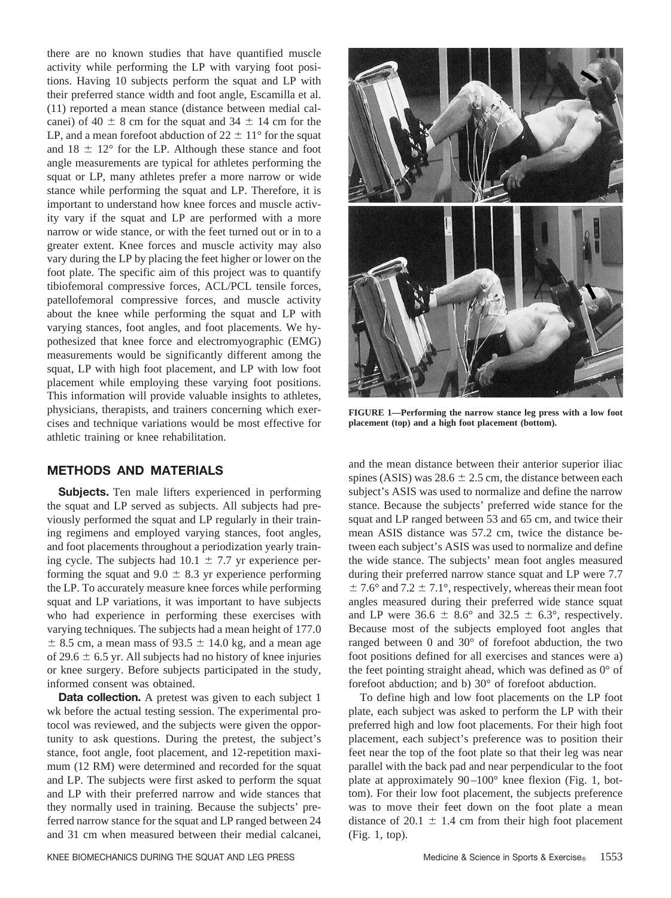there are no known studies that have quantified muscle activity while performing the LP with varying foot positions. Having 10 subjects perform the squat and LP with their preferred stance width and foot angle, Escamilla et al. (11) reported a mean stance (distance between medial calcanei) of 40  $\pm$  8 cm for the squat and 34  $\pm$  14 cm for the LP, and a mean forefoot abduction of  $22 \pm 11^{\circ}$  for the squat and  $18 \pm 12^{\circ}$  for the LP. Although these stance and foot angle measurements are typical for athletes performing the squat or LP, many athletes prefer a more narrow or wide stance while performing the squat and LP. Therefore, it is important to understand how knee forces and muscle activity vary if the squat and LP are performed with a more narrow or wide stance, or with the feet turned out or in to a greater extent. Knee forces and muscle activity may also vary during the LP by placing the feet higher or lower on the foot plate. The specific aim of this project was to quantify tibiofemoral compressive forces, ACL/PCL tensile forces, patellofemoral compressive forces, and muscle activity about the knee while performing the squat and LP with varying stances, foot angles, and foot placements. We hypothesized that knee force and electromyographic (EMG) measurements would be significantly different among the squat, LP with high foot placement, and LP with low foot placement while employing these varying foot positions. This information will provide valuable insights to athletes, physicians, therapists, and trainers concerning which exercises and technique variations would be most effective for athletic training or knee rehabilitation.

# **METHODS AND MATERIALS**

**Subjects.** Ten male lifters experienced in performing the squat and LP served as subjects. All subjects had previously performed the squat and LP regularly in their training regimens and employed varying stances, foot angles, and foot placements throughout a periodization yearly training cycle. The subjects had  $10.1 \pm 7.7$  yr experience performing the squat and  $9.0 \pm 8.3$  yr experience performing the LP. To accurately measure knee forces while performing squat and LP variations, it was important to have subjects who had experience in performing these exercises with varying techniques. The subjects had a mean height of 177.0  $\pm$  8.5 cm, a mean mass of 93.5  $\pm$  14.0 kg, and a mean age of 29.6  $\pm$  6.5 yr. All subjects had no history of knee injuries or knee surgery. Before subjects participated in the study, informed consent was obtained.

**Data collection.** A pretest was given to each subject 1 wk before the actual testing session. The experimental protocol was reviewed, and the subjects were given the opportunity to ask questions. During the pretest, the subject's stance, foot angle, foot placement, and 12-repetition maximum (12 RM) were determined and recorded for the squat and LP. The subjects were first asked to perform the squat and LP with their preferred narrow and wide stances that they normally used in training. Because the subjects' preferred narrow stance for the squat and LP ranged between 24 and 31 cm when measured between their medial calcanei,



**FIGURE 1—Performing the narrow stance leg press with a low foot placement (top) and a high foot placement (bottom).**

and the mean distance between their anterior superior iliac spines (ASIS) was  $28.6 \pm 2.5$  cm, the distance between each subject's ASIS was used to normalize and define the narrow stance. Because the subjects' preferred wide stance for the squat and LP ranged between 53 and 65 cm, and twice their mean ASIS distance was 57.2 cm, twice the distance between each subject's ASIS was used to normalize and define the wide stance. The subjects' mean foot angles measured during their preferred narrow stance squat and LP were 7.7  $\pm$  7.6° and 7.2  $\pm$  7.1°, respectively, whereas their mean foot angles measured during their preferred wide stance squat and LP were  $36.6 \pm 8.6^{\circ}$  and  $32.5 \pm 6.3^{\circ}$ , respectively. Because most of the subjects employed foot angles that ranged between 0 and 30° of forefoot abduction, the two foot positions defined for all exercises and stances were a) the feet pointing straight ahead, which was defined as  $0^{\circ}$  of forefoot abduction; and b) 30° of forefoot abduction.

To define high and low foot placements on the LP foot plate, each subject was asked to perform the LP with their preferred high and low foot placements. For their high foot placement, each subject's preference was to position their feet near the top of the foot plate so that their leg was near parallel with the back pad and near perpendicular to the foot plate at approximately 90–100° knee flexion (Fig. 1, bottom). For their low foot placement, the subjects preference was to move their feet down on the foot plate a mean distance of 20.1  $\pm$  1.4 cm from their high foot placement (Fig. 1, top).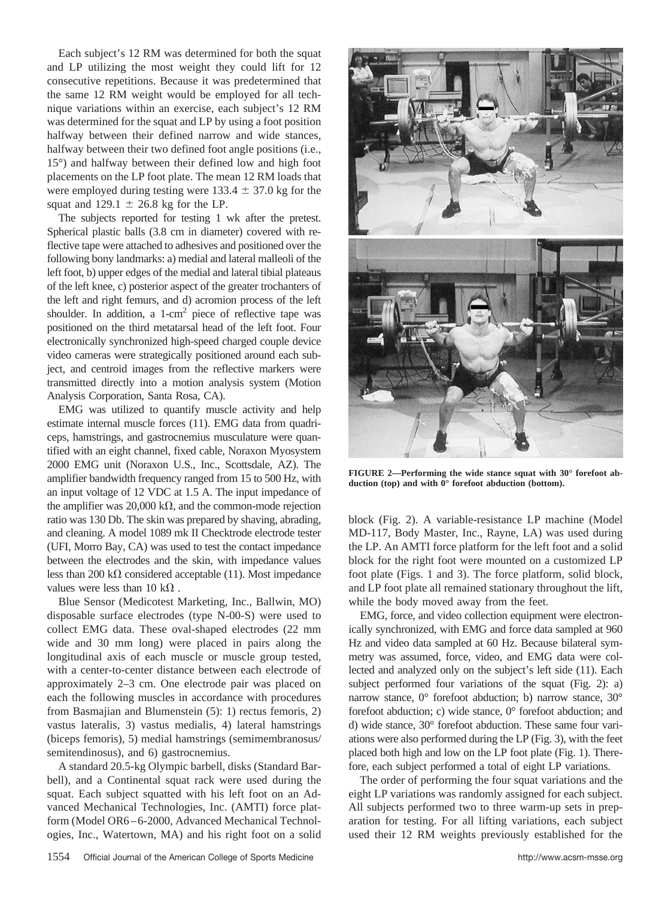Each subject's 12 RM was determined for both the squat and LP utilizing the most weight they could lift for 12 consecutive repetitions. Because it was predetermined that the same 12 RM weight would be employed for all technique variations within an exercise, each subject's 12 RM was determined for the squat and LP by using a foot position halfway between their defined narrow and wide stances, halfway between their two defined foot angle positions (i.e., 15°) and halfway between their defined low and high foot placements on the LP foot plate. The mean 12 RM loads that were employed during testing were  $133.4 \pm 37.0$  kg for the squat and  $129.1 \pm 26.8$  kg for the LP.

The subjects reported for testing 1 wk after the pretest. Spherical plastic balls (3.8 cm in diameter) covered with reflective tape were attached to adhesives and positioned over the following bony landmarks: a) medial and lateral malleoli of the left foot, b) upper edges of the medial and lateral tibial plateaus of the left knee, c) posterior aspect of the greater trochanters of the left and right femurs, and d) acromion process of the left shoulder. In addition, a  $1$ -cm<sup>2</sup> piece of reflective tape was positioned on the third metatarsal head of the left foot. Four electronically synchronized high-speed charged couple device video cameras were strategically positioned around each subject, and centroid images from the reflective markers were transmitted directly into a motion analysis system (Motion Analysis Corporation, Santa Rosa, CA).

EMG was utilized to quantify muscle activity and help estimate internal muscle forces (11). EMG data from quadriceps, hamstrings, and gastrocnemius musculature were quantified with an eight channel, fixed cable, Noraxon Myosystem 2000 EMG unit (Noraxon U.S., Inc., Scottsdale, AZ). The amplifier bandwidth frequency ranged from 15 to 500 Hz, with an input voltage of 12 VDC at 1.5 A. The input impedance of the amplifier was  $20,000 \text{ k}\Omega$ , and the common-mode rejection ratio was 130 Db. The skin was prepared by shaving, abrading, and cleaning. A model 1089 mk II Checktrode electrode tester (UFI, Morro Bay, CA) was used to test the contact impedance between the electrodes and the skin, with impedance values less than 200 k $\Omega$  considered acceptable (11). Most impedance values were less than 10  $k\Omega$ .

Blue Sensor (Medicotest Marketing, Inc., Ballwin, MO) disposable surface electrodes (type N-00-S) were used to collect EMG data. These oval-shaped electrodes (22 mm wide and 30 mm long) were placed in pairs along the longitudinal axis of each muscle or muscle group tested, with a center-to-center distance between each electrode of approximately 2–3 cm. One electrode pair was placed on each the following muscles in accordance with procedures from Basmajian and Blumenstein (5): 1) rectus femoris, 2) vastus lateralis, 3) vastus medialis, 4) lateral hamstrings (biceps femoris), 5) medial hamstrings (semimembranosus/ semitendinosus), and 6) gastrocnemius.

A standard 20.5-kg Olympic barbell, disks (Standard Barbell), and a Continental squat rack were used during the squat. Each subject squatted with his left foot on an Advanced Mechanical Technologies, Inc. (AMTI) force platform (Model OR6–6-2000, Advanced Mechanical Technologies, Inc., Watertown, MA) and his right foot on a solid



**FIGURE 2—Performing the wide stance squat with 30° forefoot abduction (top) and with 0° forefoot abduction (bottom).**

block (Fig. 2). A variable-resistance LP machine (Model MD-117, Body Master, Inc., Rayne, LA) was used during the LP. An AMTI force platform for the left foot and a solid block for the right foot were mounted on a customized LP foot plate (Figs. 1 and 3). The force platform, solid block, and LP foot plate all remained stationary throughout the lift, while the body moved away from the feet.

EMG, force, and video collection equipment were electronically synchronized, with EMG and force data sampled at 960 Hz and video data sampled at 60 Hz. Because bilateral symmetry was assumed, force, video, and EMG data were collected and analyzed only on the subject's left side (11). Each subject performed four variations of the squat (Fig. 2): a) narrow stance, 0° forefoot abduction; b) narrow stance, 30° forefoot abduction; c) wide stance, 0° forefoot abduction; and d) wide stance, 30° forefoot abduction. These same four variations were also performed during the LP (Fig. 3), with the feet placed both high and low on the LP foot plate (Fig. 1). Therefore, each subject performed a total of eight LP variations.

The order of performing the four squat variations and the eight LP variations was randomly assigned for each subject. All subjects performed two to three warm-up sets in preparation for testing. For all lifting variations, each subject used their 12 RM weights previously established for the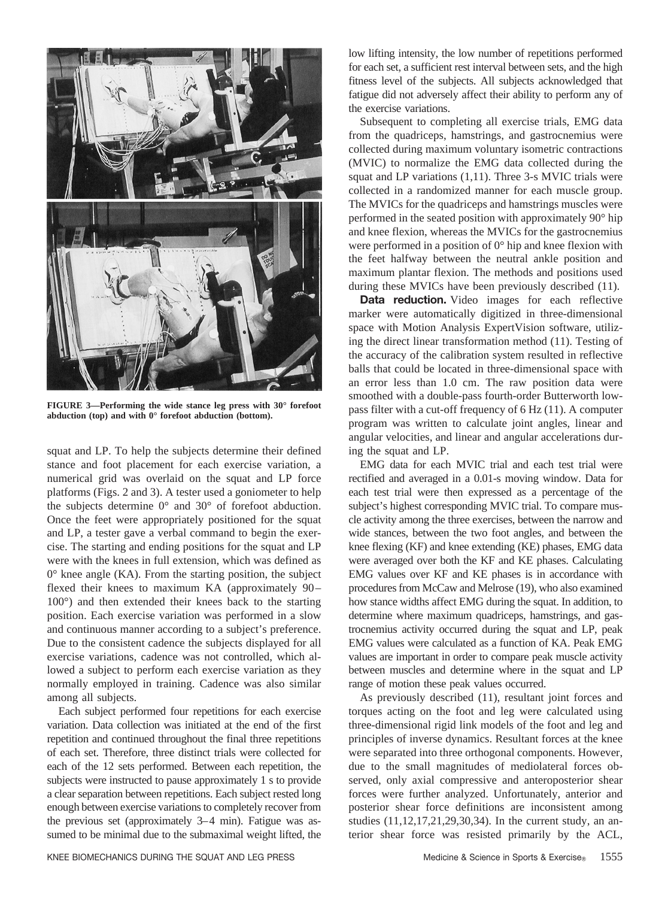

**FIGURE 3—Performing the wide stance leg press with 30° forefoot abduction (top) and with 0° forefoot abduction (bottom).**

squat and LP. To help the subjects determine their defined stance and foot placement for each exercise variation, a numerical grid was overlaid on the squat and LP force platforms (Figs. 2 and 3). A tester used a goniometer to help the subjects determine 0° and 30° of forefoot abduction. Once the feet were appropriately positioned for the squat and LP, a tester gave a verbal command to begin the exercise. The starting and ending positions for the squat and LP were with the knees in full extension, which was defined as 0° knee angle (KA). From the starting position, the subject flexed their knees to maximum KA (approximately 90– 100°) and then extended their knees back to the starting position. Each exercise variation was performed in a slow and continuous manner according to a subject's preference. Due to the consistent cadence the subjects displayed for all exercise variations, cadence was not controlled, which allowed a subject to perform each exercise variation as they normally employed in training. Cadence was also similar among all subjects.

Each subject performed four repetitions for each exercise variation. Data collection was initiated at the end of the first repetition and continued throughout the final three repetitions of each set. Therefore, three distinct trials were collected for each of the 12 sets performed. Between each repetition, the subjects were instructed to pause approximately 1 s to provide a clear separation between repetitions. Each subject rested long enough between exercise variations to completely recover from the previous set (approximately 3–4 min). Fatigue was assumed to be minimal due to the submaximal weight lifted, the

low lifting intensity, the low number of repetitions performed for each set, a sufficient rest interval between sets, and the high fitness level of the subjects. All subjects acknowledged that fatigue did not adversely affect their ability to perform any of the exercise variations.

Subsequent to completing all exercise trials, EMG data from the quadriceps, hamstrings, and gastrocnemius were collected during maximum voluntary isometric contractions (MVIC) to normalize the EMG data collected during the squat and LP variations (1,11). Three 3-s MVIC trials were collected in a randomized manner for each muscle group. The MVICs for the quadriceps and hamstrings muscles were performed in the seated position with approximately 90° hip and knee flexion, whereas the MVICs for the gastrocnemius were performed in a position of 0° hip and knee flexion with the feet halfway between the neutral ankle position and maximum plantar flexion. The methods and positions used during these MVICs have been previously described (11).

Data reduction. Video images for each reflective marker were automatically digitized in three-dimensional space with Motion Analysis ExpertVision software, utilizing the direct linear transformation method (11). Testing of the accuracy of the calibration system resulted in reflective balls that could be located in three-dimensional space with an error less than 1.0 cm. The raw position data were smoothed with a double-pass fourth-order Butterworth lowpass filter with a cut-off frequency of 6 Hz (11). A computer program was written to calculate joint angles, linear and angular velocities, and linear and angular accelerations during the squat and LP.

EMG data for each MVIC trial and each test trial were rectified and averaged in a 0.01-s moving window. Data for each test trial were then expressed as a percentage of the subject's highest corresponding MVIC trial. To compare muscle activity among the three exercises, between the narrow and wide stances, between the two foot angles, and between the knee flexing (KF) and knee extending (KE) phases, EMG data were averaged over both the KF and KE phases. Calculating EMG values over KF and KE phases is in accordance with procedures from McCaw and Melrose (19), who also examined how stance widths affect EMG during the squat. In addition, to determine where maximum quadriceps, hamstrings, and gastrocnemius activity occurred during the squat and LP, peak EMG values were calculated as a function of KA. Peak EMG values are important in order to compare peak muscle activity between muscles and determine where in the squat and LP range of motion these peak values occurred.

As previously described (11), resultant joint forces and torques acting on the foot and leg were calculated using three-dimensional rigid link models of the foot and leg and principles of inverse dynamics. Resultant forces at the knee were separated into three orthogonal components. However, due to the small magnitudes of mediolateral forces observed, only axial compressive and anteroposterior shear forces were further analyzed. Unfortunately, anterior and posterior shear force definitions are inconsistent among studies (11,12,17,21,29,30,34). In the current study, an anterior shear force was resisted primarily by the ACL,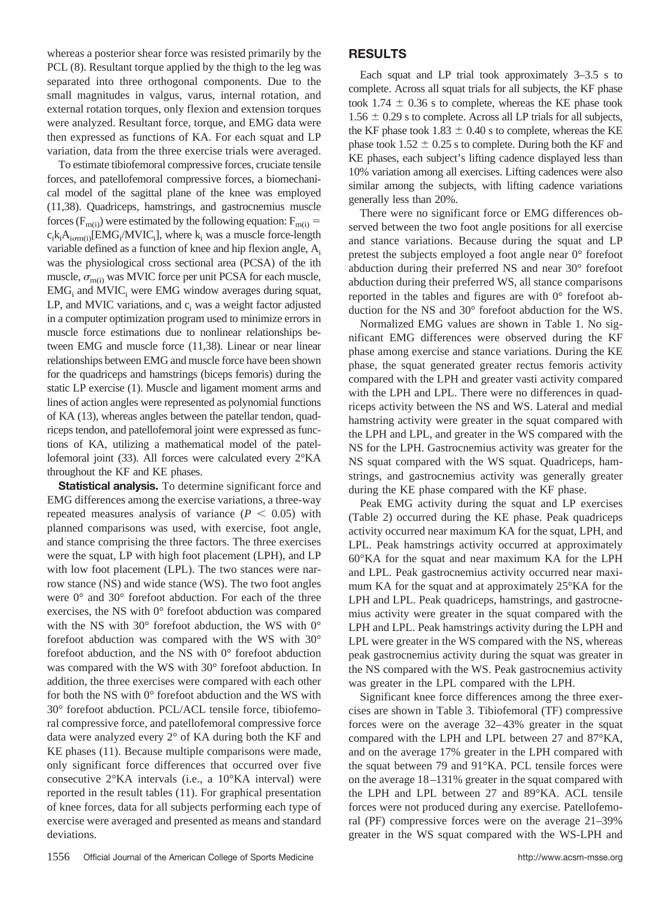whereas a posterior shear force was resisted primarily by the PCL  $(8)$ . Resultant torque applied by the thigh to the leg was separated into three orthogonal components. Due to the small magnitudes in valgus, varus, internal rotation, and external rotation torques, only flexion and extension torques were analyzed. Resultant force, torque, and EMG data were then expressed as functions of KA. For each squat and LP variation, data from the three exercise trials were averaged.

To estimate tibiofemoral compressive forces, cruciate tensile forces, and patellofemoral compressive forces, a biomechanical model of the sagittal plane of the knee was employed (11,38). Quadriceps, hamstrings, and gastrocnemius muscle forces ( $F_{m(i)}$ ) were estimated by the following equation:  $F_{m(i)} =$  $c_i k_i A_{i_i}$  (EMG<sub>i</sub>/MVIC<sub>i</sub>], where  $k_i$  was a muscle force-length variable defined as a function of knee and hip flexion angle, A<sub>i</sub> was the physiological cross sectional area (PCSA) of the ith muscle,  $\sigma_{\text{m(i)}}$  was MVIC force per unit PCSA for each muscle,  $EMG<sub>i</sub>$  and MVIC<sub>i</sub> were EMG window averages during squat, LP, and MVIC variations, and  $c_i$  was a weight factor adjusted in a computer optimization program used to minimize errors in muscle force estimations due to nonlinear relationships between EMG and muscle force (11,38). Linear or near linear relationships between EMG and muscle force have been shown for the quadriceps and hamstrings (biceps femoris) during the static LP exercise (1). Muscle and ligament moment arms and lines of action angles were represented as polynomial functions of KA (13), whereas angles between the patellar tendon, quadriceps tendon, and patellofemoral joint were expressed as functions of KA, utilizing a mathematical model of the patellofemoral joint (33). All forces were calculated every 2°KA throughout the KF and KE phases.

**Statistical analysis.** To determine significant force and EMG differences among the exercise variations, a three-way repeated measures analysis of variance  $(P < 0.05)$  with planned comparisons was used, with exercise, foot angle, and stance comprising the three factors. The three exercises were the squat, LP with high foot placement (LPH), and LP with low foot placement (LPL). The two stances were narrow stance (NS) and wide stance (WS). The two foot angles were 0° and 30° forefoot abduction. For each of the three exercises, the NS with 0° forefoot abduction was compared with the NS with 30° forefoot abduction, the WS with 0° forefoot abduction was compared with the WS with 30° forefoot abduction, and the NS with 0° forefoot abduction was compared with the WS with 30° forefoot abduction. In addition, the three exercises were compared with each other for both the NS with 0° forefoot abduction and the WS with 30° forefoot abduction. PCL/ACL tensile force, tibiofemoral compressive force, and patellofemoral compressive force data were analyzed every 2° of KA during both the KF and KE phases (11). Because multiple comparisons were made, only significant force differences that occurred over five consecutive 2°KA intervals (i.e., a 10°KA interval) were reported in the result tables (11). For graphical presentation of knee forces, data for all subjects performing each type of exercise were averaged and presented as means and standard deviations.

## **RESULTS**

Each squat and LP trial took approximately 3–3.5 s to complete. Across all squat trials for all subjects, the KF phase took 1.74  $\pm$  0.36 s to complete, whereas the KE phase took  $1.56 \pm 0.29$  s to complete. Across all LP trials for all subjects, the KF phase took 1.83  $\pm$  0.40 s to complete, whereas the KE phase took  $1.52 \pm 0.25$  s to complete. During both the KF and KE phases, each subject's lifting cadence displayed less than 10% variation among all exercises. Lifting cadences were also similar among the subjects, with lifting cadence variations generally less than 20%.

There were no significant force or EMG differences observed between the two foot angle positions for all exercise and stance variations. Because during the squat and LP pretest the subjects employed a foot angle near 0° forefoot abduction during their preferred NS and near 30° forefoot abduction during their preferred WS, all stance comparisons reported in the tables and figures are with 0° forefoot abduction for the NS and 30° forefoot abduction for the WS.

Normalized EMG values are shown in Table 1. No significant EMG differences were observed during the KF phase among exercise and stance variations. During the KE phase, the squat generated greater rectus femoris activity compared with the LPH and greater vasti activity compared with the LPH and LPL. There were no differences in quadriceps activity between the NS and WS. Lateral and medial hamstring activity were greater in the squat compared with the LPH and LPL, and greater in the WS compared with the NS for the LPH. Gastrocnemius activity was greater for the NS squat compared with the WS squat. Quadriceps, hamstrings, and gastrocnemius activity was generally greater during the KE phase compared with the KF phase.

Peak EMG activity during the squat and LP exercises (Table 2) occurred during the KE phase. Peak quadriceps activity occurred near maximum KA for the squat, LPH, and LPL. Peak hamstrings activity occurred at approximately 60°KA for the squat and near maximum KA for the LPH and LPL. Peak gastrocnemius activity occurred near maximum KA for the squat and at approximately 25°KA for the LPH and LPL. Peak quadriceps, hamstrings, and gastrocnemius activity were greater in the squat compared with the LPH and LPL. Peak hamstrings activity during the LPH and LPL were greater in the WS compared with the NS, whereas peak gastrocnemius activity during the squat was greater in the NS compared with the WS. Peak gastrocnemius activity was greater in the LPL compared with the LPH.

Significant knee force differences among the three exercises are shown in Table 3. Tibiofemoral (TF) compressive forces were on the average 32–43% greater in the squat compared with the LPH and LPL between 27 and 87°KA, and on the average 17% greater in the LPH compared with the squat between 79 and 91°KA. PCL tensile forces were on the average 18–131% greater in the squat compared with the LPH and LPL between 27 and 89°KA. ACL tensile forces were not produced during any exercise. Patellofemoral (PF) compressive forces were on the average 21–39% greater in the WS squat compared with the WS-LPH and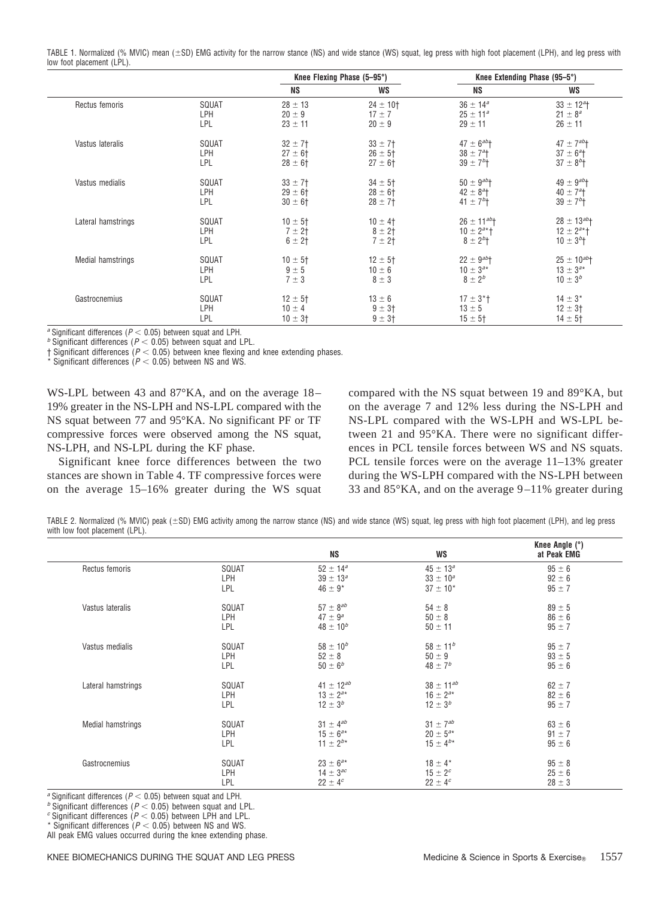TABLE 1. Normalized (% MVIC) mean (±SD) EMG activity for the narrow stance (NS) and wide stance (WS) squat, leg press with high foot placement (LPH), and leg press with low foot placement (LPL).

|                    |            | Knee Flexing Phase (5–95°) |                         | Knee Extending Phase (95–5°)  |                               |
|--------------------|------------|----------------------------|-------------------------|-------------------------------|-------------------------------|
|                    |            | <b>NS</b>                  | WS                      | <b>NS</b>                     | WS                            |
| Rectus femoris     | SQUAT      | $28 \pm 13$                | $24 \pm 10^{+}$         | $36 \pm 14^a$                 | $33 \pm 12^{a}$ +             |
|                    | <b>LPH</b> | $20 \pm 9$                 | $17 \pm 7$              | $25 \pm 11^a$                 | $21 \pm 8^a$                  |
|                    | LPL        | $23 \pm 11$                | $20 \pm 9$              | $29 \pm 11$                   | $26 \pm 11$                   |
| Vastus lateralis   | SQUAT      | $32 \pm 7$                 | $33 \pm 7$              | $47 \pm 6^{ab}$ +             | $47 \pm 7^{ab}$ <sup>+</sup>  |
|                    | LPH        | $27 \pm 6$ †               | $26 \pm 5$ †            | $38 \pm 7^{\circ}$ +          | $37 \pm 6^2$                  |
|                    | LPL        | $28 \pm 6$ †               | $27 \pm 6$ <sup>+</sup> | $39 \pm 7^{b}$                | $37 \pm 8^{b}$ +              |
| Vastus medialis    | SQUAT      | $33 \pm 7$                 | $34 \pm 5$ †            | $50 \pm 9^{ab}$ <sup>+</sup>  | $49 \pm 9^{ab}$ <sup>+</sup>  |
|                    | LPH        | $29 \pm 6$ †               | $28 \pm 61$             | $42 \pm 8^{a}$ +              | $40 \pm 7$ <sup>a</sup> t     |
|                    | LPL        | $30 \pm 6$ †               | $28 \pm 7$ †            | $41 \pm 7^{b}$                | $39 \pm 7^{b}$                |
| Lateral hamstrings | SQUAT      | $10 \pm 5$ †               | $10 \pm 4$              | $26 \pm 11^{ab}$ <sup>+</sup> | $28 \pm 13^{ab}$ <sup>+</sup> |
|                    | LPH        | 7 ± 2†                     | $8 \pm 2$ †             | $10 \pm 2^{a*}$ +             | $12 \pm 2^{a*}$               |
|                    | LPL        | $6 \pm 2$ †                | $7 + 21$                | $8 \pm 2^{b}$                 | $10 \pm 3^{b}$                |
| Medial hamstrings  | SQUAT      | $10 \pm 5$ †               | $12 \pm 5$ †            | $22 \pm 9^{ab}$ <sup>+</sup>  | $25 \pm 10^{ab}$              |
|                    | <b>LPH</b> | $9 \pm 5$                  | $10 \pm 6$              | $10 \pm 3^{a*}$               | $13 \pm 3^{a*}$               |
|                    | LPL        | $7 \pm 3$                  | $8 \pm 3$               | $8 \pm 2^b$                   | $10 \pm 3^{b}$                |
| Gastrocnemius      | SQUAT      | $12 \pm 5$ †               | $13 \pm 6$              | $17 \pm 3$ <sup>*</sup> t     | $14 \pm 3*$                   |
|                    | LPH        | $10 \pm 4$                 | $9 \pm 3$ †             | $13 \pm 5$                    | $12 \pm 3$ <sup>+</sup>       |
|                    | LPL        | $10 \pm 3$ <sup>+</sup>    | $9 \pm 3$               | $15 \pm 5$ †                  | $14 \pm 5$ <sup>+</sup>       |

*a* Significant differences ( $P < 0.05$ ) between squat and LPH. *b* Significant differences ( $P < 0.05$ ) between squat and LPL.

 $\dagger$  Significant differences ( $P < 0.05$ ) between knee flexing and knee extending phases.

 $*$  Significant differences ( $P < 0.05$ ) between NS and WS.

WS-LPL between 43 and 87°KA, and on the average 18– 19% greater in the NS-LPH and NS-LPL compared with the NS squat between 77 and 95°KA. No significant PF or TF compressive forces were observed among the NS squat, NS-LPH, and NS-LPL during the KF phase.

Significant knee force differences between the two stances are shown in Table 4. TF compressive forces were on the average 15–16% greater during the WS squat compared with the NS squat between 19 and 89°KA, but on the average 7 and 12% less during the NS-LPH and NS-LPL compared with the WS-LPH and WS-LPL between 21 and 95°KA. There were no significant differences in PCL tensile forces between WS and NS squats. PCL tensile forces were on the average 11–13% greater during the WS-LPH compared with the NS-LPH between 33 and 85°KA, and on the average 9 –11% greater during

TABLE 2. Normalized (% MVIC) peak (±SD) EMG activity among the narrow stance (NS) and wide stance (WS) squat, leg press with high foot placement (LPH), and leg press with low foot placement (LPL).

|                    |       | <b>NS</b>        | <b>WS</b>        | Knee Angle (°)<br>at Peak EMG |
|--------------------|-------|------------------|------------------|-------------------------------|
| Rectus femoris     | SQUAT | $52 \pm 14^a$    | $45 \pm 13^a$    | $95 \pm 6$                    |
|                    | LPH   | $39 \pm 13^a$    | $33 \pm 10^a$    | $92 \pm 6$                    |
|                    | LPL   | $46 \pm 9*$      | $37 \pm 10^{*}$  | $95 \pm 7$                    |
| Vastus lateralis   | SQUAT | $57 \pm 8^{ab}$  | $54 \pm 8$       | $89 \pm 5$                    |
|                    | LPH   | $47 \pm 9^a$     | $50 \pm 8$       | $86 \pm 6$                    |
|                    | LPL   | $48 \pm 10^{b}$  | $50 \pm 11$      | $95 \pm 7$                    |
| Vastus medialis    | SQUAT | $58 \pm 10^{b}$  | $58 \pm 11^{b}$  | $95 \pm 7$                    |
|                    | LPH   | $52 \pm 8$       | $50 \pm 9$       | $93 \pm 5$                    |
|                    | LPL   | $50 \pm 6^{b}$   | $48 \pm 7^{b}$   | $95 \pm 6$                    |
| Lateral hamstrings | SQUAT | $41 \pm 12^{ab}$ | $38 \pm 11^{ab}$ | $62 \pm 7$                    |
|                    | LPH   | $13 \pm 2^{a*}$  | $16 \pm 2^{a*}$  | $82 \pm 6$                    |
|                    | LPL   | $12 \pm 3^{b}$   | $12 \pm 3^{b}$   | $95 \pm 7$                    |
| Medial hamstrings  | SQUAT | $31 \pm 4^{ab}$  | $31 \pm 7^{ab}$  | $63 \pm 6$                    |
|                    | LPH   | $15 \pm 6^{a*}$  | $20 \pm 5^{a*}$  | $91 \pm 7$                    |
|                    | LPL   | $11 \pm 2^{b*}$  | $15 \pm 4^{b*}$  | $95 \pm 6$                    |
| Gastrocnemius      | SQUAT | $23 \pm 6^{a*}$  | $18 \pm 4*$      | $95 \pm 8$                    |
|                    | LPH   | $14 \pm 3^{ac}$  | $15 \pm 2^{c}$   | $25 \pm 6$                    |
|                    | LPL   | $22 \pm 4^c$     | $22 \pm 4^c$     | $28 \pm 3$                    |

*a* Significant differences (*P*  $<$  0.05) between squat and LPH. *b* Significant differences (*P*  $<$  0.05) between LPH and LPL. *c* Significant differences (*P*  $<$  0.05) between LPH and LPL.

\* Significant differences  $(P < 0.05)$  between NS and WS.

All peak EMG values occurred during the knee extending phase.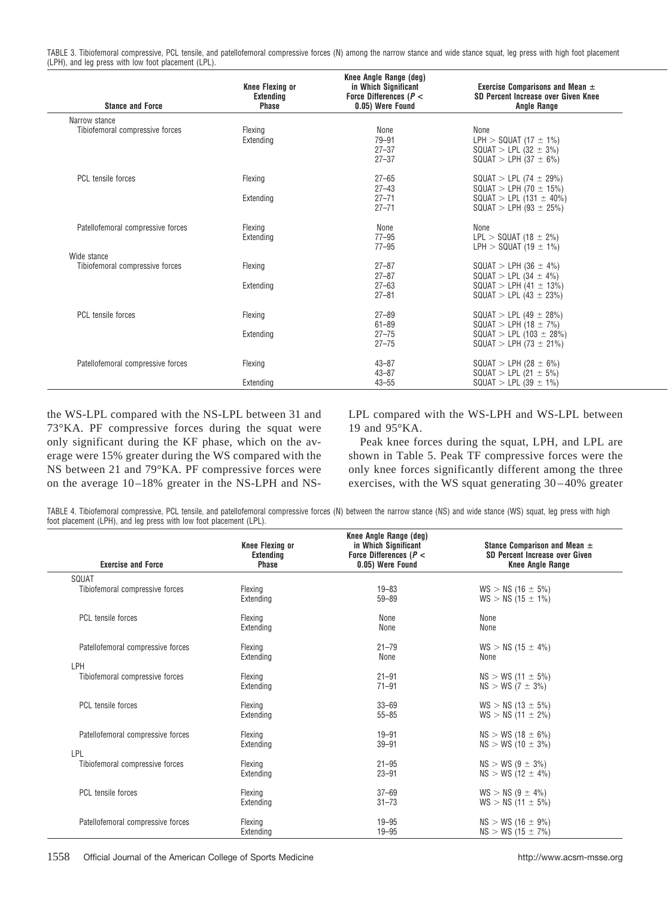TABLE 3. Tibiofemoral compressive, PCL tensile, and patellofemoral compressive forces (N) among the narrow stance and wide stance squat, leg press with high foot placement (LPH), and leg press with low foot placement (LPL).

| <b>Stance and Force</b>           | <b>Knee Flexing or</b><br><b>Extending</b><br>Phase | Knee Angle Range (deg)<br>in Which Significant<br>Force Differences ( $P <$<br>0.05) Were Found | Exercise Comparisons and Mean $\pm$<br>SD Percent Increase over Given Knee<br><b>Angle Range</b> |
|-----------------------------------|-----------------------------------------------------|-------------------------------------------------------------------------------------------------|--------------------------------------------------------------------------------------------------|
| Narrow stance                     |                                                     |                                                                                                 |                                                                                                  |
| Tibiofemoral compressive forces   | Flexing                                             | None                                                                                            | None                                                                                             |
|                                   | Extending                                           | $79 - 91$                                                                                       | LPH $>$ SQUAT (17 $\pm$ 1%)                                                                      |
|                                   |                                                     | $27 - 37$                                                                                       | $SQUAT > LPL (32 \pm 3\%)$                                                                       |
|                                   |                                                     | $27 - 37$                                                                                       | $SQUAT > LPH (37 \pm 6\%)$                                                                       |
| PCL tensile forces                | Flexing                                             | $27 - 65$                                                                                       | SQUAT > LPL (74 $\pm$ 29%)                                                                       |
|                                   |                                                     | $27 - 43$                                                                                       | SQUAT > LPH (70 $\pm$ 15%)                                                                       |
|                                   | Extending                                           | $27 - 71$                                                                                       | $SQUAT > LPL$ (131 $\pm$ 40%)                                                                    |
|                                   |                                                     | $27 - 71$                                                                                       | $SQUAT > LPH (93 \pm 25%)$                                                                       |
| Patellofemoral compressive forces | Flexing                                             | None                                                                                            | None                                                                                             |
|                                   | Extending                                           | $77 - 95$                                                                                       | $LPL > SQUAT (18 \pm 2\%)$                                                                       |
|                                   |                                                     | $77 - 95$                                                                                       | LPH $>$ SQUAT (19 $\pm$ 1%)                                                                      |
| Wide stance                       |                                                     |                                                                                                 |                                                                                                  |
| Tibiofemoral compressive forces   | Flexing                                             | $27 - 87$                                                                                       | $SQUAT > LPH (36 \pm 4\%)$                                                                       |
|                                   | Extending                                           | $27 - 87$<br>$27 - 63$                                                                          | $SQUAT > LPL (34 \pm 4\%)$<br>$SQUAT > LPH (41 \pm 13\%)$                                        |
|                                   |                                                     | $27 - 81$                                                                                       | $SQUAT > LPL$ (43 $\pm$ 23%)                                                                     |
|                                   |                                                     |                                                                                                 |                                                                                                  |
| PCL tensile forces                | Flexing                                             | $27 - 89$                                                                                       | $SQUAT > LPL$ (49 $\pm$ 28%)                                                                     |
|                                   |                                                     | $61 - 89$                                                                                       | $SQUAT > LPH (18 \pm 7\%)$                                                                       |
|                                   | Extending                                           | $27 - 75$                                                                                       | SQUAT > LPL (103 $\pm$ 28%)                                                                      |
|                                   |                                                     | $27 - 75$                                                                                       | $SQUAT > LPH (73 \pm 21\%)$                                                                      |
| Patellofemoral compressive forces | Flexing                                             | $43 - 87$                                                                                       | SQUAT > LPH (28 $\pm$ 6%)                                                                        |
|                                   |                                                     | $43 - 87$                                                                                       | $SQUAT > LPL$ (21 $\pm$ 5%)                                                                      |
|                                   | Extending                                           | $43 - 55$                                                                                       | $SQUAT > LPL$ (39 $\pm$ 1%)                                                                      |
|                                   |                                                     |                                                                                                 |                                                                                                  |

the WS-LPL compared with the NS-LPL between 31 and 73°KA. PF compressive forces during the squat were only significant during the KF phase, which on the average were 15% greater during the WS compared with the NS between 21 and 79°KA. PF compressive forces were on the average 10 –18% greater in the NS-LPH and NS-

LPL compared with the WS-LPH and WS-LPL between 19 and 95°KA.

Peak knee forces during the squat, LPH, and LPL are shown in Table 5. Peak TF compressive forces were the only knee forces significantly different among the three exercises, with the WS squat generating 30 – 40% greater

TABLE 4. Tibiofemoral compressive, PCL tensile, and patellofemoral compressive forces (N) between the narrow stance (NS) and wide stance (WS) squat, leg press with high foot placement (LPH), and leg press with low foot placement (LPL).

| <b>Exercise and Force</b>         | <b>Knee Flexing or</b><br>Extending<br><b>Phase</b> | Knee Angle Range (deg)<br>in Which Significant<br>Force Differences ( $P <$<br>0.05) Were Found | Stance Comparison and Mean $\pm$<br>SD Percent Increase over Given<br><b>Knee Angle Range</b> |
|-----------------------------------|-----------------------------------------------------|-------------------------------------------------------------------------------------------------|-----------------------------------------------------------------------------------------------|
| SQUAT                             |                                                     |                                                                                                 |                                                                                               |
| Tibiofemoral compressive forces   | Flexing<br>Extending                                | $19 - 83$<br>$59 - 89$                                                                          | $WS > NS (16 \pm 5\%)$<br>$WS > NS (15 \pm 1\%)$                                              |
| PCL tensile forces                | Flexing<br>Extending                                | None<br>None                                                                                    | None<br>None                                                                                  |
| Patellofemoral compressive forces | Flexing<br>Extending                                | $21 - 79$<br>None                                                                               | $WS > NS (15 \pm 4\%)$<br>None                                                                |
| LPH                               |                                                     |                                                                                                 |                                                                                               |
| Tibiofemoral compressive forces   | Flexing<br>Extending                                | $21 - 91$<br>$71 - 91$                                                                          | $NS > WS (11 \pm 5\%)$<br>$NS > WS (7 \pm 3\%)$                                               |
| PCL tensile forces                | Flexing<br>Extending                                | $33 - 69$<br>$55 - 85$                                                                          | $WS > NS (13 \pm 5\%)$<br>$WS > NS (11 \pm 2\%)$                                              |
| Patellofemoral compressive forces | Flexing<br>Extending                                | $19 - 91$<br>$39 - 91$                                                                          | $NS > WS (18 \pm 6\%)$<br>$NS > WS (10 \pm 3\%)$                                              |
| LPL                               |                                                     |                                                                                                 |                                                                                               |
| Tibiofemoral compressive forces   | Flexing<br>Extending                                | $21 - 95$<br>$23 - 91$                                                                          | $NS > WS (9 \pm 3\%)$<br>$NS > WS (12 \pm 4\%)$                                               |
| PCL tensile forces                | Flexing                                             | $37 - 69$                                                                                       | $WS > NS (9 \pm 4\%)$                                                                         |
|                                   | Extending                                           | $31 - 73$                                                                                       | $WS > NS (11 \pm 5\%)$                                                                        |
| Patellofemoral compressive forces | Flexing                                             | $19 - 95$                                                                                       | $NS > WS (16 \pm 9\%)$                                                                        |
|                                   | Extending                                           | $19 - 95$                                                                                       | $NS > WS (15 \pm 7\%)$                                                                        |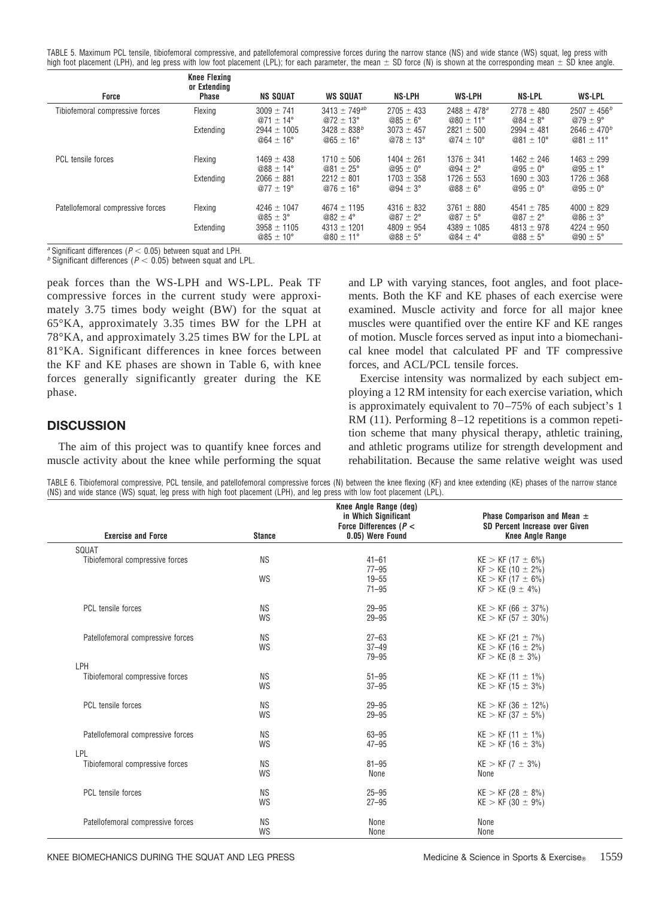TABLE 5. Maximum PCL tensile, tibiofemoral compressive, and patellofemoral compressive forces during the narrow stance (NS) and wide stance (WS) squat, leg press with high foot placement (LPH), and leg press with low foot placement (LPL); for each parameter, the mean  $\pm$  SD force (N) is shown at the corresponding mean  $\pm$  SD knee angle.

| Force                             | Knee Flexing<br>or Extending<br><b>Phase</b> | <b>NS SQUAT</b>                         | <b>WS SQUAT</b>                            | <b>NS-LPH</b>                         | <b>WS-LPH</b>                          | NS-LPL                                | <b>WS-LPL</b>                         |
|-----------------------------------|----------------------------------------------|-----------------------------------------|--------------------------------------------|---------------------------------------|----------------------------------------|---------------------------------------|---------------------------------------|
| Tibiofemoral compressive forces   | Flexing                                      | $3009 \pm 741$<br>@71 $\pm$ 14°         | $3413 \pm 749^{ab}$<br>@72 $\pm$ 13°       | $2705 \pm 433$<br>$@85 \pm 6^\circ$   | $2488 \pm 478^a$<br>@80 $\pm$ 11°      | $2778 \pm 480$<br>$@84 \pm 8^\circ$   | $2507 \pm 456^b$<br>$@79 \pm 9^\circ$ |
|                                   | Extending                                    | $2944 \pm 1005$<br>$@64 \pm 16^{\circ}$ | $3428 \pm 838^{b}$<br>$@65 \pm 16^{\circ}$ | $3073 \pm 457$<br>@78 $\pm$ 13°       | $2821 \pm 500$<br>@74 $\pm$ 10°        | $2994 \pm 481$<br>@81 $\pm$ 10°       | $2646 \pm 470^b$<br>@81 $\pm$ 11°     |
| <b>PCL</b> tensile forces         | Flexing                                      | $1469 \pm 438$<br>@88 $\pm$ 14°         | $1710 \pm 506$<br>@81 $\pm$ 25°            | $1404 \pm 261$<br>$@95 \pm 0^{\circ}$ | $1376 \pm 341$<br>@94 $\pm$ 2°         | $1462 \pm 246$<br>$@95 \pm 0^{\circ}$ | $1463 \pm 299$<br>@95 $\pm$ 1°        |
|                                   | Extending                                    | $2066 \pm 881$<br>@77 $\pm$ 19°         | $2212 \pm 801$<br>$@76 \pm 16^{\circ}$     | $1703 \pm 358$<br>$@94 \pm 3^\circ$   | $1726 \pm 553$<br>$@88 \pm 6^{\circ}$  | $1690 \pm 303$<br>$@95 \pm 0^\circ$   | $1726 \pm 368$<br>$@95 \pm 0^{\circ}$ |
| Patellofemoral compressive forces | Flexing                                      | $4246 \pm 1047$<br>$@85 \pm 3^{\circ}$  | $4674 \pm 1195$<br>$@82 \pm 4^{\circ}$     | $4316 \pm 832$<br>$@87 \pm 2^{\circ}$ | $3761 \pm 880$<br>$@87 \pm 5^{\circ}$  | $4541 \pm 785$<br>@87 $\pm$ 2°        | $4000 \pm 829$<br>$@86 \pm 3^\circ$   |
|                                   | Extending                                    | $3958 \pm 1105$<br>$@85 \pm 10^{\circ}$ | $4313 \pm 1201$<br>$@80 \pm 11^{\circ}$    | $4809 \pm 954$<br>$@88 \pm 5^\circ$   | $4389 \pm 1085$<br>$@84 \pm 4^{\circ}$ | $4813 \pm 978$<br>$@88 \pm 5^\circ$   | $4224 \pm 950$<br>@90 $\pm$ 5°        |

*a* Significant differences ( $P < 0.05$ ) between squat and LPH. *b* Significant differences ( $P < 0.05$ ) between squat and LPL.

peak forces than the WS-LPH and WS-LPL. Peak TF compressive forces in the current study were approximately 3.75 times body weight (BW) for the squat at 65°KA, approximately 3.35 times BW for the LPH at 78°KA, and approximately 3.25 times BW for the LPL at 81°KA. Significant differences in knee forces between the KF and KE phases are shown in Table 6, with knee forces generally significantly greater during the KE phase.

## **DISCUSSION**

The aim of this project was to quantify knee forces and muscle activity about the knee while performing the squat and LP with varying stances, foot angles, and foot placements. Both the KF and KE phases of each exercise were examined. Muscle activity and force for all major knee muscles were quantified over the entire KF and KE ranges of motion. Muscle forces served as input into a biomechanical knee model that calculated PF and TF compressive forces, and ACL/PCL tensile forces.

Exercise intensity was normalized by each subject employing a 12 RM intensity for each exercise variation, which is approximately equivalent to 70–75% of each subject's 1 RM (11). Performing 8–12 repetitions is a common repetition scheme that many physical therapy, athletic training, and athletic programs utilize for strength development and rehabilitation. Because the same relative weight was used

TABLE 6. Tibiofemoral compressive, PCL tensile, and patellofemoral compressive forces (N) between the knee flexing (KF) and knee extending (KE) phases of the narrow stance (NS) and wide stance (WS) squat, leg press with high foot placement (LPH), and leg press with low foot placement (LPL).

|                                        |               | Knee Angle Range (deg)<br>in Which Significant<br>Force Differences ( $P <$ | Phase Comparison and Mean $\pm$<br>SD Percent Increase over Given |
|----------------------------------------|---------------|-----------------------------------------------------------------------------|-------------------------------------------------------------------|
| <b>Exercise and Force</b>              | <b>Stance</b> | 0.05) Were Found                                                            | <b>Knee Angle Range</b>                                           |
| SQUAT                                  |               |                                                                             |                                                                   |
| Tibiofemoral compressive forces        | <b>NS</b>     | $41 - 61$<br>$77 - 95$                                                      | $KE > KF (17 \pm 6\%)$<br>$KF > KE (10 \pm 2\%)$                  |
|                                        | WS            | $19 - 55$<br>$71 - 95$                                                      | $KE > KF (17 \pm 6\%)$<br>$KF > KE (9 \pm 4\%)$                   |
|                                        |               |                                                                             |                                                                   |
| PCL tensile forces                     | <b>NS</b>     | $29 - 95$                                                                   | $KE > KF (66 \pm 37\%)$                                           |
|                                        | WS            | $29 - 95$                                                                   | $KE > KF (57 \pm 30\%)$                                           |
| Patellofemoral compressive forces      | <b>NS</b>     | $27 - 63$                                                                   | $KE > KF (21 \pm 7\%)$                                            |
|                                        | WS            | $37 - 49$                                                                   | $KE > KF (16 \pm 2\%)$                                            |
|                                        |               | $79 - 95$                                                                   | $KF > KE (8 \pm 3\%)$                                             |
| LPH<br>Tibiofemoral compressive forces | <b>NS</b>     | $51 - 95$                                                                   | $KE > KF (11 \pm 1\%)$                                            |
|                                        | WS            | $37 - 95$                                                                   | $KE > KF (15 \pm 3\%)$                                            |
| PCL tensile forces                     | <b>NS</b>     | $29 - 95$                                                                   | $KE > KF (36 \pm 12\%)$                                           |
|                                        | WS            | $29 - 95$                                                                   | $KE > KF (37 \pm 5\%)$                                            |
| Patellofemoral compressive forces      | <b>NS</b>     | $63 - 95$                                                                   | $KE > KF (11 \pm 1\%)$                                            |
|                                        | WS            | $47 - 95$                                                                   | $KE > KF (16 \pm 3\%)$                                            |
| LPL                                    |               |                                                                             |                                                                   |
| Tibiofemoral compressive forces        | <b>NS</b>     | $81 - 95$                                                                   | $KE > KF (7 \pm 3\%)$                                             |
|                                        | WS            | None                                                                        | None                                                              |
| PCL tensile forces                     | <b>NS</b>     | $25 - 95$                                                                   | $KE > KF (28 \pm 8\%)$                                            |
|                                        | WS            | $27 - 95$                                                                   | $KE > KF (30 \pm 9\%)$                                            |
| Patellofemoral compressive forces      | <b>NS</b>     | None                                                                        | None                                                              |
|                                        | WS            | None                                                                        | None                                                              |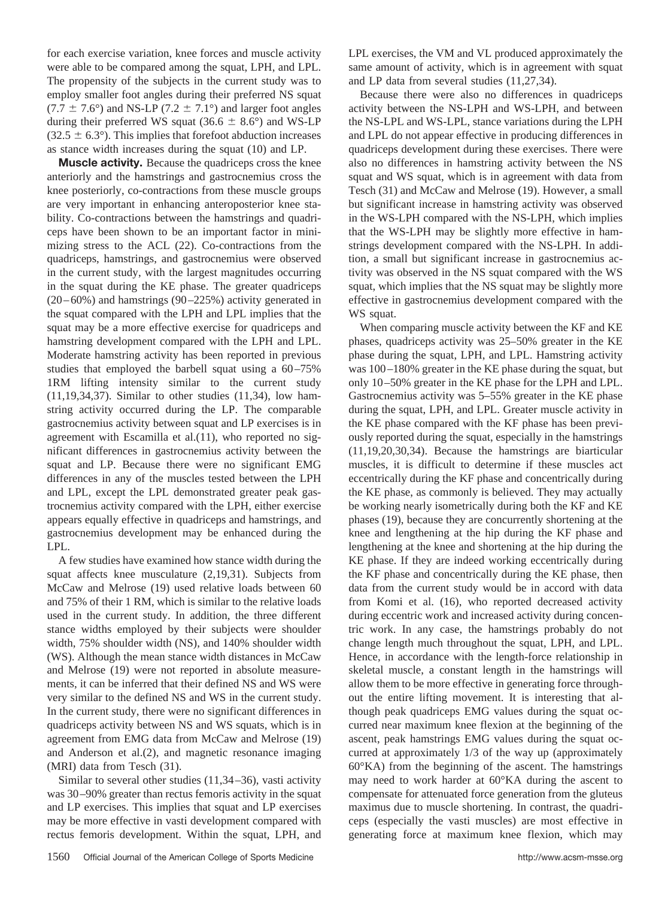for each exercise variation, knee forces and muscle activity were able to be compared among the squat, LPH, and LPL. The propensity of the subjects in the current study was to employ smaller foot angles during their preferred NS squat  $(7.7 \pm 7.6^{\circ})$  and NS-LP  $(7.2 \pm 7.1^{\circ})$  and larger foot angles during their preferred WS squat (36.6  $\pm$  8.6°) and WS-LP  $(32.5 \pm 6.3^{\circ})$ . This implies that forefoot abduction increases as stance width increases during the squat (10) and LP.

**Muscle activity.** Because the quadriceps cross the knee anteriorly and the hamstrings and gastrocnemius cross the knee posteriorly, co-contractions from these muscle groups are very important in enhancing anteroposterior knee stability. Co-contractions between the hamstrings and quadriceps have been shown to be an important factor in minimizing stress to the ACL (22). Co-contractions from the quadriceps, hamstrings, and gastrocnemius were observed in the current study, with the largest magnitudes occurring in the squat during the KE phase. The greater quadriceps (20–60%) and hamstrings (90–225%) activity generated in the squat compared with the LPH and LPL implies that the squat may be a more effective exercise for quadriceps and hamstring development compared with the LPH and LPL. Moderate hamstring activity has been reported in previous studies that employed the barbell squat using a 60–75% 1RM lifting intensity similar to the current study (11,19,34,37). Similar to other studies (11,34), low hamstring activity occurred during the LP. The comparable gastrocnemius activity between squat and LP exercises is in agreement with Escamilla et al.(11), who reported no significant differences in gastrocnemius activity between the squat and LP. Because there were no significant EMG differences in any of the muscles tested between the LPH and LPL, except the LPL demonstrated greater peak gastrocnemius activity compared with the LPH, either exercise appears equally effective in quadriceps and hamstrings, and gastrocnemius development may be enhanced during the LPL.

A few studies have examined how stance width during the squat affects knee musculature (2,19,31). Subjects from McCaw and Melrose (19) used relative loads between 60 and 75% of their 1 RM, which is similar to the relative loads used in the current study. In addition, the three different stance widths employed by their subjects were shoulder width, 75% shoulder width (NS), and 140% shoulder width (WS). Although the mean stance width distances in McCaw and Melrose (19) were not reported in absolute measurements, it can be inferred that their defined NS and WS were very similar to the defined NS and WS in the current study. In the current study, there were no significant differences in quadriceps activity between NS and WS squats, which is in agreement from EMG data from McCaw and Melrose (19) and Anderson et al.(2), and magnetic resonance imaging (MRI) data from Tesch (31).

Similar to several other studies (11,34–36), vasti activity was 30–90% greater than rectus femoris activity in the squat and LP exercises. This implies that squat and LP exercises may be more effective in vasti development compared with rectus femoris development. Within the squat, LPH, and

LPL exercises, the VM and VL produced approximately the same amount of activity, which is in agreement with squat and LP data from several studies (11,27,34).

Because there were also no differences in quadriceps activity between the NS-LPH and WS-LPH, and between the NS-LPL and WS-LPL, stance variations during the LPH and LPL do not appear effective in producing differences in quadriceps development during these exercises. There were also no differences in hamstring activity between the NS squat and WS squat, which is in agreement with data from Tesch (31) and McCaw and Melrose (19). However, a small but significant increase in hamstring activity was observed in the WS-LPH compared with the NS-LPH, which implies that the WS-LPH may be slightly more effective in hamstrings development compared with the NS-LPH. In addition, a small but significant increase in gastrocnemius activity was observed in the NS squat compared with the WS squat, which implies that the NS squat may be slightly more effective in gastrocnemius development compared with the WS squat.

When comparing muscle activity between the KF and KE phases, quadriceps activity was 25–50% greater in the KE phase during the squat, LPH, and LPL. Hamstring activity was 100–180% greater in the KE phase during the squat, but only 10–50% greater in the KE phase for the LPH and LPL. Gastrocnemius activity was 5–55% greater in the KE phase during the squat, LPH, and LPL. Greater muscle activity in the KE phase compared with the KF phase has been previously reported during the squat, especially in the hamstrings (11,19,20,30,34). Because the hamstrings are biarticular muscles, it is difficult to determine if these muscles act eccentrically during the KF phase and concentrically during the KE phase, as commonly is believed. They may actually be working nearly isometrically during both the KF and KE phases (19), because they are concurrently shortening at the knee and lengthening at the hip during the KF phase and lengthening at the knee and shortening at the hip during the KE phase. If they are indeed working eccentrically during the KF phase and concentrically during the KE phase, then data from the current study would be in accord with data from Komi et al. (16), who reported decreased activity during eccentric work and increased activity during concentric work. In any case, the hamstrings probably do not change length much throughout the squat, LPH, and LPL. Hence, in accordance with the length-force relationship in skeletal muscle, a constant length in the hamstrings will allow them to be more effective in generating force throughout the entire lifting movement. It is interesting that although peak quadriceps EMG values during the squat occurred near maximum knee flexion at the beginning of the ascent, peak hamstrings EMG values during the squat occurred at approximately 1/3 of the way up (approximately 60°KA) from the beginning of the ascent. The hamstrings may need to work harder at 60°KA during the ascent to compensate for attenuated force generation from the gluteus maximus due to muscle shortening. In contrast, the quadriceps (especially the vasti muscles) are most effective in generating force at maximum knee flexion, which may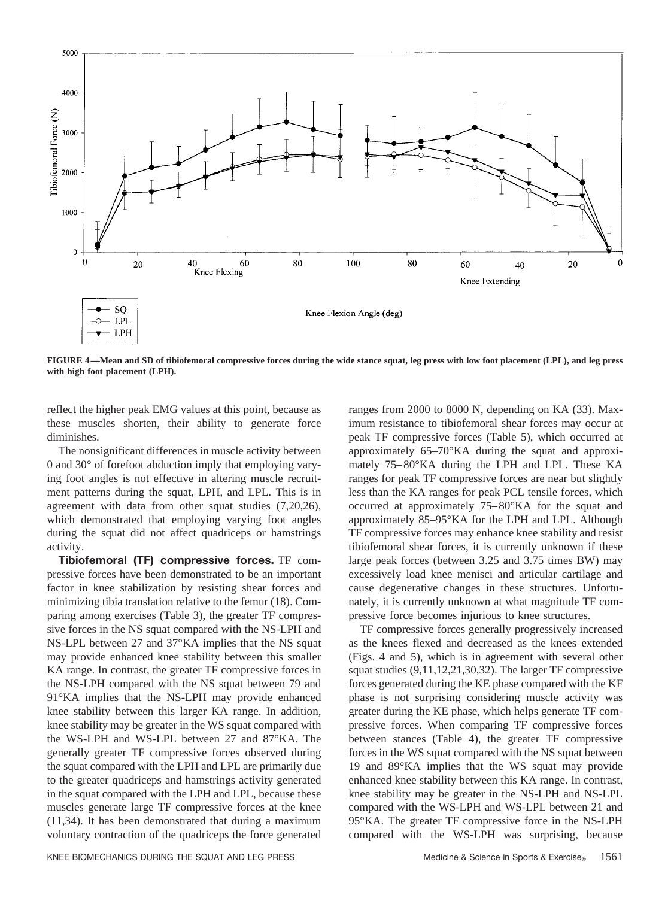

**FIGURE 4—Mean and SD of tibiofemoral compressive forces during the wide stance squat, leg press with low foot placement (LPL), and leg press with high foot placement (LPH).**

reflect the higher peak EMG values at this point, because as these muscles shorten, their ability to generate force diminishes.

The nonsignificant differences in muscle activity between 0 and 30° of forefoot abduction imply that employing varying foot angles is not effective in altering muscle recruitment patterns during the squat, LPH, and LPL. This is in agreement with data from other squat studies (7,20,26), which demonstrated that employing varying foot angles during the squat did not affect quadriceps or hamstrings activity.

**Tibiofemoral (TF) compressive forces.** TF compressive forces have been demonstrated to be an important factor in knee stabilization by resisting shear forces and minimizing tibia translation relative to the femur (18). Comparing among exercises (Table 3), the greater TF compressive forces in the NS squat compared with the NS-LPH and NS-LPL between 27 and 37°KA implies that the NS squat may provide enhanced knee stability between this smaller KA range. In contrast, the greater TF compressive forces in the NS-LPH compared with the NS squat between 79 and 91°KA implies that the NS-LPH may provide enhanced knee stability between this larger KA range. In addition, knee stability may be greater in the WS squat compared with the WS-LPH and WS-LPL between 27 and 87°KA. The generally greater TF compressive forces observed during the squat compared with the LPH and LPL are primarily due to the greater quadriceps and hamstrings activity generated in the squat compared with the LPH and LPL, because these muscles generate large TF compressive forces at the knee (11,34). It has been demonstrated that during a maximum voluntary contraction of the quadriceps the force generated

ranges from 2000 to 8000 N, depending on KA (33). Maximum resistance to tibiofemoral shear forces may occur at peak TF compressive forces (Table 5), which occurred at approximately 65–70°KA during the squat and approximately 75–80°KA during the LPH and LPL. These KA ranges for peak TF compressive forces are near but slightly less than the KA ranges for peak PCL tensile forces, which occurred at approximately 75–80°KA for the squat and approximately 85–95°KA for the LPH and LPL. Although TF compressive forces may enhance knee stability and resist tibiofemoral shear forces, it is currently unknown if these large peak forces (between 3.25 and 3.75 times BW) may excessively load knee menisci and articular cartilage and cause degenerative changes in these structures. Unfortunately, it is currently unknown at what magnitude TF compressive force becomes injurious to knee structures.

TF compressive forces generally progressively increased as the knees flexed and decreased as the knees extended (Figs. 4 and 5), which is in agreement with several other squat studies (9,11,12,21,30,32). The larger TF compressive forces generated during the KE phase compared with the KF phase is not surprising considering muscle activity was greater during the KE phase, which helps generate TF compressive forces. When comparing TF compressive forces between stances (Table 4), the greater TF compressive forces in the WS squat compared with the NS squat between 19 and 89°KA implies that the WS squat may provide enhanced knee stability between this KA range. In contrast, knee stability may be greater in the NS-LPH and NS-LPL compared with the WS-LPH and WS-LPL between 21 and 95°KA. The greater TF compressive force in the NS-LPH compared with the WS-LPH was surprising, because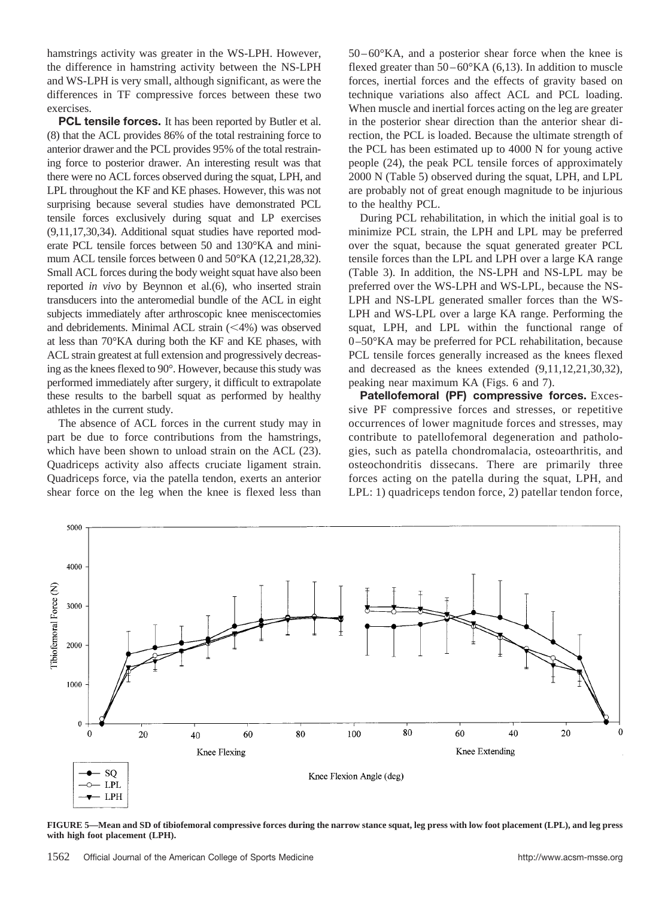hamstrings activity was greater in the WS-LPH. However, the difference in hamstring activity between the NS-LPH and WS-LPH is very small, although significant, as were the differences in TF compressive forces between these two exercises.

**PCL tensile forces.** It has been reported by Butler et al. (8) that the ACL provides 86% of the total restraining force to anterior drawer and the PCL provides 95% of the total restraining force to posterior drawer. An interesting result was that there were no ACL forces observed during the squat, LPH, and LPL throughout the KF and KE phases. However, this was not surprising because several studies have demonstrated PCL tensile forces exclusively during squat and LP exercises (9,11,17,30,34). Additional squat studies have reported moderate PCL tensile forces between 50 and 130°KA and minimum ACL tensile forces between 0 and 50°KA (12,21,28,32). Small ACL forces during the body weight squat have also been reported *in vivo* by Beynnon et al.(6), who inserted strain transducers into the anteromedial bundle of the ACL in eight subjects immediately after arthroscopic knee meniscectomies and debridements. Minimal ACL strain  $(\leq 4\%)$  was observed at less than 70°KA during both the KF and KE phases, with ACL strain greatest at full extension and progressively decreasing as the knees flexed to 90°. However, because this study was performed immediately after surgery, it difficult to extrapolate these results to the barbell squat as performed by healthy athletes in the current study.

The absence of ACL forces in the current study may in part be due to force contributions from the hamstrings, which have been shown to unload strain on the ACL (23). Quadriceps activity also affects cruciate ligament strain. Quadriceps force, via the patella tendon, exerts an anterior shear force on the leg when the knee is flexed less than 50–60°KA, and a posterior shear force when the knee is flexed greater than  $50-60^{\circ}$ KA  $(6,13)$ . In addition to muscle forces, inertial forces and the effects of gravity based on technique variations also affect ACL and PCL loading. When muscle and inertial forces acting on the leg are greater in the posterior shear direction than the anterior shear direction, the PCL is loaded. Because the ultimate strength of the PCL has been estimated up to 4000 N for young active people (24), the peak PCL tensile forces of approximately 2000 N (Table 5) observed during the squat, LPH, and LPL are probably not of great enough magnitude to be injurious to the healthy PCL.

During PCL rehabilitation, in which the initial goal is to minimize PCL strain, the LPH and LPL may be preferred over the squat, because the squat generated greater PCL tensile forces than the LPL and LPH over a large KA range (Table 3). In addition, the NS-LPH and NS-LPL may be preferred over the WS-LPH and WS-LPL, because the NS-LPH and NS-LPL generated smaller forces than the WS-LPH and WS-LPL over a large KA range. Performing the squat, LPH, and LPL within the functional range of 0–50°KA may be preferred for PCL rehabilitation, because PCL tensile forces generally increased as the knees flexed and decreased as the knees extended (9,11,12,21,30,32), peaking near maximum KA (Figs. 6 and 7).

**Patellofemoral (PF) compressive forces.** Excessive PF compressive forces and stresses, or repetitive occurrences of lower magnitude forces and stresses, may contribute to patellofemoral degeneration and pathologies, such as patella chondromalacia, osteoarthritis, and osteochondritis dissecans. There are primarily three forces acting on the patella during the squat, LPH, and LPL: 1) quadriceps tendon force, 2) patellar tendon force,



**FIGURE 5—Mean and SD of tibiofemoral compressive forces during the narrow stance squat, leg press with low foot placement (LPL), and leg press with high foot placement (LPH).**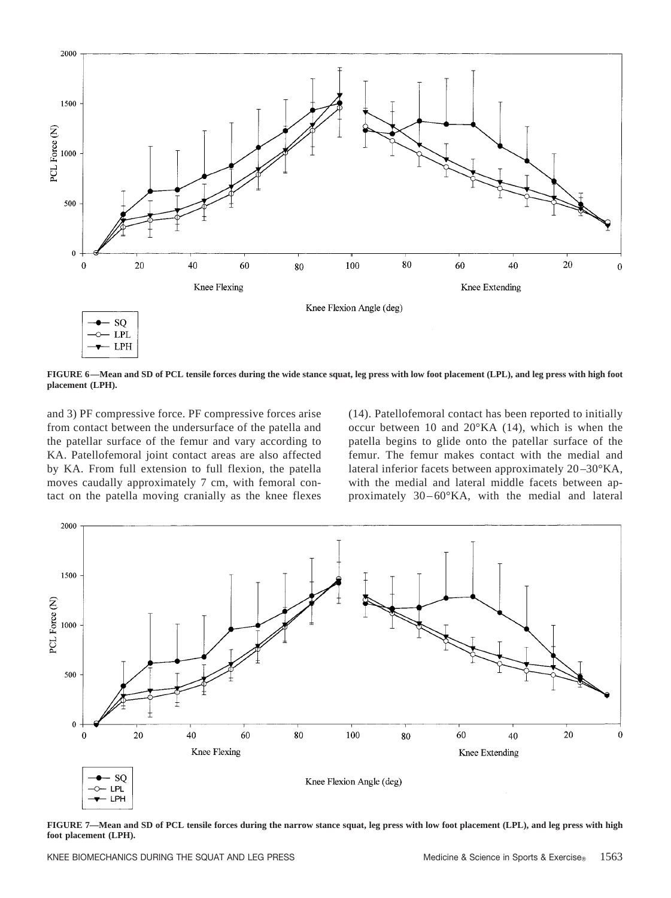

**FIGURE 6—Mean and SD of PCL tensile forces during the wide stance squat, leg press with low foot placement (LPL), and leg press with high foot placement (LPH).**

and 3) PF compressive force. PF compressive forces arise from contact between the undersurface of the patella and the patellar surface of the femur and vary according to KA. Patellofemoral joint contact areas are also affected by KA. From full extension to full flexion, the patella moves caudally approximately 7 cm, with femoral contact on the patella moving cranially as the knee flexes (14). Patellofemoral contact has been reported to initially occur between 10 and 20°KA (14), which is when the patella begins to glide onto the patellar surface of the femur. The femur makes contact with the medial and lateral inferior facets between approximately 20–30°KA, with the medial and lateral middle facets between approximately  $30-60^{\circ}KA$ , with the medial and lateral



**FIGURE 7—Mean and SD of PCL tensile forces during the narrow stance squat, leg press with low foot placement (LPL), and leg press with high foot placement (LPH).**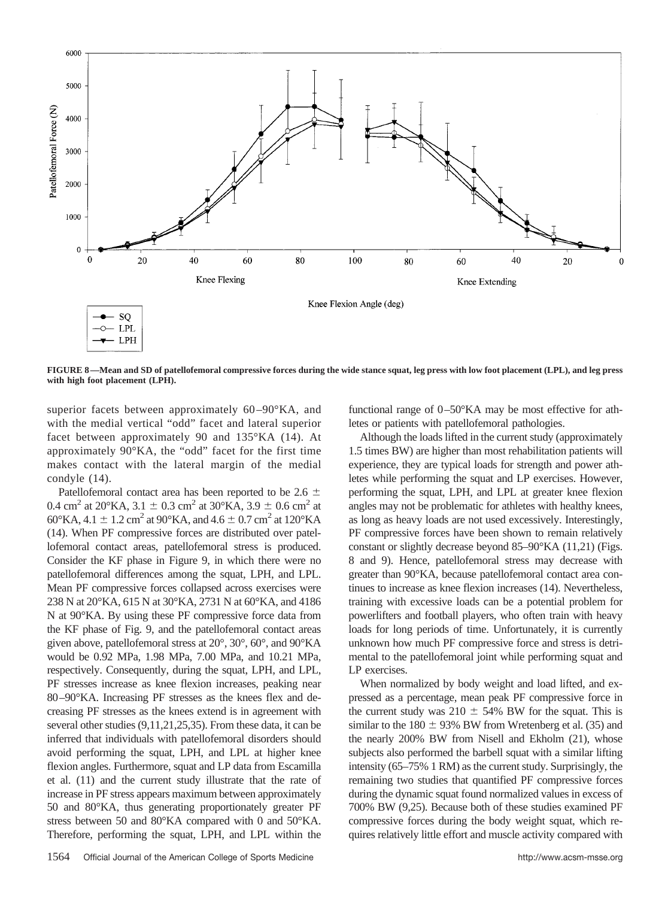

**FIGURE 8—Mean and SD of patellofemoral compressive forces during the wide stance squat, leg press with low foot placement (LPL), and leg press with high foot placement (LPH).**

superior facets between approximately 60-90°KA, and with the medial vertical "odd" facet and lateral superior facet between approximately 90 and 135°KA (14). At approximately 90°KA, the "odd" facet for the first time makes contact with the lateral margin of the medial condyle (14).

Patellofemoral contact area has been reported to be 2.6  $\pm$ 0.4 cm<sup>2</sup> at 20°KA, 3.1  $\pm$  0.3 cm<sup>2</sup> at 30°KA, 3.9  $\pm$  0.6 cm<sup>2</sup> at 60°KA, 4.1  $\pm$  1.2 cm<sup>2</sup> at 90°KA, and 4.6  $\pm$  0.7 cm<sup>2</sup> at 120°KA (14). When PF compressive forces are distributed over patellofemoral contact areas, patellofemoral stress is produced. Consider the KF phase in Figure 9, in which there were no patellofemoral differences among the squat, LPH, and LPL. Mean PF compressive forces collapsed across exercises were 238 N at 20°KA, 615 N at 30°KA, 2731 N at 60°KA, and 4186 N at 90°KA. By using these PF compressive force data from the KF phase of Fig. 9, and the patellofemoral contact areas given above, patellofemoral stress at 20°, 30°, 60°, and 90°KA would be 0.92 MPa, 1.98 MPa, 7.00 MPa, and 10.21 MPa, respectively. Consequently, during the squat, LPH, and LPL, PF stresses increase as knee flexion increases, peaking near 80–90°KA. Increasing PF stresses as the knees flex and decreasing PF stresses as the knees extend is in agreement with several other studies (9,11,21,25,35). From these data, it can be inferred that individuals with patellofemoral disorders should avoid performing the squat, LPH, and LPL at higher knee flexion angles. Furthermore, squat and LP data from Escamilla et al. (11) and the current study illustrate that the rate of increase in PF stress appears maximum between approximately 50 and 80°KA, thus generating proportionately greater PF stress between 50 and 80°KA compared with 0 and 50°KA. Therefore, performing the squat, LPH, and LPL within the

functional range of 0–50°KA may be most effective for athletes or patients with patellofemoral pathologies.

Although the loads lifted in the current study (approximately 1.5 times BW) are higher than most rehabilitation patients will experience, they are typical loads for strength and power athletes while performing the squat and LP exercises. However, performing the squat, LPH, and LPL at greater knee flexion angles may not be problematic for athletes with healthy knees, as long as heavy loads are not used excessively. Interestingly, PF compressive forces have been shown to remain relatively constant or slightly decrease beyond 85–90°KA (11,21) (Figs. 8 and 9). Hence, patellofemoral stress may decrease with greater than 90°KA, because patellofemoral contact area continues to increase as knee flexion increases (14). Nevertheless, training with excessive loads can be a potential problem for powerlifters and football players, who often train with heavy loads for long periods of time. Unfortunately, it is currently unknown how much PF compressive force and stress is detrimental to the patellofemoral joint while performing squat and LP exercises.

When normalized by body weight and load lifted, and expressed as a percentage, mean peak PF compressive force in the current study was  $210 \pm 54\%$  BW for the squat. This is similar to the  $180 \pm 93\%$  BW from Wretenberg et al. (35) and the nearly 200% BW from Nisell and Ekholm (21), whose subjects also performed the barbell squat with a similar lifting intensity (65–75% 1 RM) as the current study. Surprisingly, the remaining two studies that quantified PF compressive forces during the dynamic squat found normalized values in excess of 700% BW (9,25). Because both of these studies examined PF compressive forces during the body weight squat, which requires relatively little effort and muscle activity compared with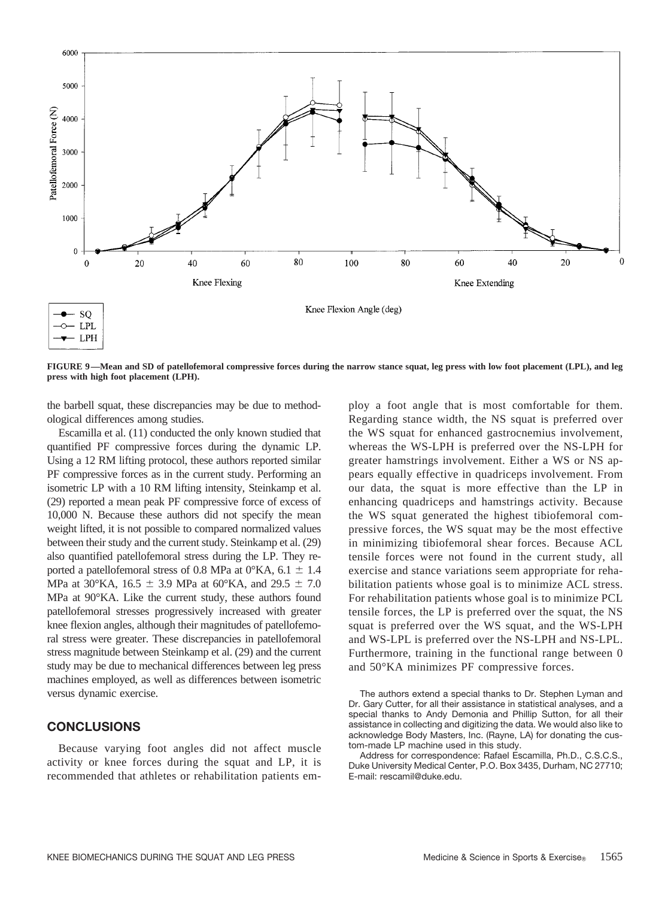

**FIGURE 9—Mean and SD of patellofemoral compressive forces during the narrow stance squat, leg press with low foot placement (LPL), and leg press with high foot placement (LPH).**

the barbell squat, these discrepancies may be due to methodological differences among studies.

Escamilla et al. (11) conducted the only known studied that quantified PF compressive forces during the dynamic LP. Using a 12 RM lifting protocol, these authors reported similar PF compressive forces as in the current study. Performing an isometric LP with a 10 RM lifting intensity, Steinkamp et al. (29) reported a mean peak PF compressive force of excess of 10,000 N. Because these authors did not specify the mean weight lifted, it is not possible to compared normalized values between their study and the current study. Steinkamp et al. (29) also quantified patellofemoral stress during the LP. They reported a patellofemoral stress of 0.8 MPa at  $0^{\circ}$ KA, 6.1  $\pm$  1.4 MPa at 30°KA, 16.5  $\pm$  3.9 MPa at 60°KA, and 29.5  $\pm$  7.0 MPa at 90°KA. Like the current study, these authors found patellofemoral stresses progressively increased with greater knee flexion angles, although their magnitudes of patellofemoral stress were greater. These discrepancies in patellofemoral stress magnitude between Steinkamp et al. (29) and the current study may be due to mechanical differences between leg press machines employed, as well as differences between isometric versus dynamic exercise.

## **CONCLUSIONS**

Because varying foot angles did not affect muscle activity or knee forces during the squat and LP, it is recommended that athletes or rehabilitation patients employ a foot angle that is most comfortable for them. Regarding stance width, the NS squat is preferred over the WS squat for enhanced gastrocnemius involvement, whereas the WS-LPH is preferred over the NS-LPH for greater hamstrings involvement. Either a WS or NS appears equally effective in quadriceps involvement. From our data, the squat is more effective than the LP in enhancing quadriceps and hamstrings activity. Because the WS squat generated the highest tibiofemoral compressive forces, the WS squat may be the most effective in minimizing tibiofemoral shear forces. Because ACL tensile forces were not found in the current study, all exercise and stance variations seem appropriate for rehabilitation patients whose goal is to minimize ACL stress. For rehabilitation patients whose goal is to minimize PCL tensile forces, the LP is preferred over the squat, the NS squat is preferred over the WS squat, and the WS-LPH and WS-LPL is preferred over the NS-LPH and NS-LPL. Furthermore, training in the functional range between 0 and 50°KA minimizes PF compressive forces.

The authors extend a special thanks to Dr. Stephen Lyman and Dr. Gary Cutter, for all their assistance in statistical analyses, and a special thanks to Andy Demonia and Phillip Sutton, for all their assistance in collecting and digitizing the data. We would also like to acknowledge Body Masters, Inc. (Rayne, LA) for donating the custom-made LP machine used in this study.

Address for correspondence: Rafael Escamilla, Ph.D., C.S.C.S., Duke University Medical Center, P.O. Box 3435, Durham, NC 27710; E-mail: rescamil@duke.edu.